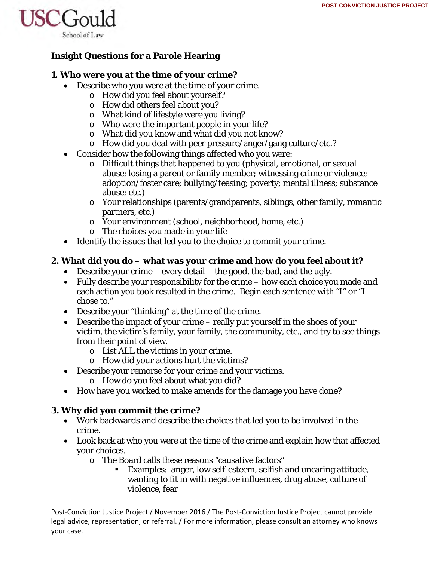

# **Insight Questions for a Parole Hearing**

## **1. Who were you at the time of your crime?**

- Describe who you were at the time of your crime.
	- o How did you feel about yourself?
	- o How did others feel about you?
	- o What kind of lifestyle were you living?
	- o Who were the important people in your life?
	- o What did you know and what did you not know?
	- o How did you deal with peer pressure/anger/gang culture/etc.?
- Consider how the following things affected who you were:
	- o Difficult things that happened to you (physical, emotional, or sexual abuse; losing a parent or family member; witnessing crime or violence; adoption/foster care; bullying/teasing; poverty; mental illness; substance abuse; etc.)
	- o Your relationships (parents/grandparents, siblings, other family, romantic partners, etc.)
	- o Your environment (school, neighborhood, home, etc.)
	- o The choices you made in your life
- Identify the issues that led you to the choice to commit your crime.

## **2. What did you do – what was your crime and how do you feel about it?**

- Describe your crime every detail the good, the bad, and the ugly.
- Fully describe your responsibility for the crime how each choice you made and each action you took resulted in the crime. Begin each sentence with "I" or "I chose to."
- Describe your "thinking" at the time of the crime.
- Describe the impact of your crime really put yourself in the shoes of your victim, the victim's family, your family, the community, etc., and try to see things from their point of view.
	- o List ALL the victims in your crime.
	- o How did your actions hurt the victims?
- Describe your remorse for your crime and your victims.
	- o How do you feel about what you did?
- How have you worked to make amends for the damage you have done?

### **3. Why did you commit the crime?**

- Work backwards and describe the choices that led you to be involved in the crime.
- Look back at who you were at the time of the crime and explain how that affected your choices.
	- o The Board calls these reasons "causative factors"
		- Examples: anger, low self-esteem, selfish and uncaring attitude, wanting to fit in with negative influences, drug abuse, culture of violence, fear

Post‐Conviction Justice Project / November 2016 / The Post‐Conviction Justice Project cannot provide legal advice, representation, or referral. / For more information, please consult an attorney who knows your case.